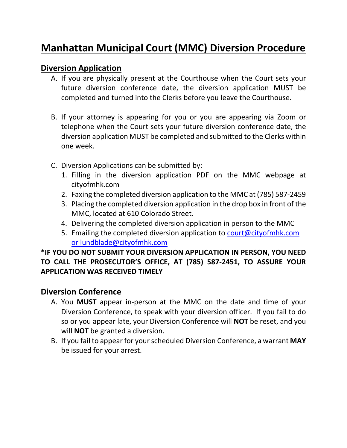# **Manhattan Municipal Court (MMC) Diversion Procedure**

# **Diversion Application**

- A. If you are physically present at the Courthouse when the Court sets your future diversion conference date, the diversion application MUST be completed and turned into the Clerks before you leave the Courthouse.
- B. If your attorney is appearing for you or you are appearing via Zoom or telephone when the Court sets your future diversion conference date, the diversion application MUST be completed and submitted to the Clerks within one week.
- C. Diversion Applications can be submitted by:
	- 1. Filling in the diversion application PDF on the MMC webpage at cityofmhk.com
	- 2. Faxing the completed diversion application to the MMC at (785) 587-2459
	- 3. Placing the completed diversion application in the drop box in front of the MMC, located at 610 Colorado Street.
	- 4. Delivering the completed diversion application in person to the MMC
	- 5. Emailing the completed diversion application to [court@cityofmhk.com](mailto:court@cityofmhk.com) or lundblade@cityofmhk.com

# **\*IF YOU DO NOT SUBMIT YOUR DIVERSION APPLICATION IN PERSON, YOU NEED TO CALL THE PROSECUTOR'S OFFICE, AT (785) 587-2451, TO ASSURE YOUR APPLICATION WAS RECEIVED TIMELY**

## **Diversion Conference**

- A. You **MUST** appear in-person at the MMC on the date and time of your Diversion Conference, to speak with your diversion officer. If you fail to do so or you appear late, your Diversion Conference will **NOT** be reset, and you will **NOT** be granted a diversion.
- B. If you fail to appear for your scheduled Diversion Conference, a warrant **MAY** be issued for your arrest.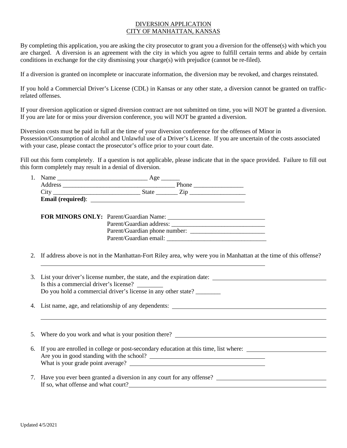## DIVERSION APPLICATION CITY OF MANHATTAN, KANSAS

By completing this application, you are asking the city prosecutor to grant you a diversion for the offense(s) with which you are charged. A diversion is an agreement with the city in which you agree to fulfill certain terms and abide by certain conditions in exchange for the city dismissing your charge(s) with prejudice (cannot be re-filed).

If a diversion is granted on incomplete or inaccurate information, the diversion may be revoked, and charges reinstated.

If you hold a Commercial Driver's License (CDL) in Kansas or any other state, a diversion cannot be granted on trafficrelated offenses.

If your diversion application or signed diversion contract are not submitted on time, you will NOT be granted a diversion. If you are late for or miss your diversion conference, you will NOT be granted a diversion.

Diversion costs must be paid in full at the time of your diversion conference for the offenses of Minor in Possession/Consumption of alcohol and Unlawful use of a Driver's License. If you are uncertain of the costs associated with your case, please contact the prosecutor's office prior to your court date.

Fill out this form completely. If a question is not applicable, please indicate that in the space provided. Failure to fill out this form completely may result in a denial of diversion.

| Name              | Age   |  |
|-------------------|-------|--|
| Address           | Phone |  |
| City              | State |  |
| Email (required): |       |  |

| <b>FOR MINORS ONLY:</b> Parent/Guardian Name: |                               |
|-----------------------------------------------|-------------------------------|
|                                               | Parent/Guardian address:      |
|                                               | Parent/Guardian phone number: |
|                                               | Parent/Guardian email:        |

- 2. If address above is not in the Manhattan-Fort Riley area, why were you in Manhattan at the time of this offense?
- 3. List your driver's license number, the state, and the expiration date: Is this a commercial driver's license? Do you hold a commercial driver's license in any other state?
- 4. List name, age, and relationship of any dependents:

5. Where do you work and what is your position there? 6. If you are enrolled in college or post-secondary education at this time, list where: Are you in good standing with the school? What is your grade point average? 

7. Have you ever been granted a diversion in any court for any offense? If so, what offense and what court?